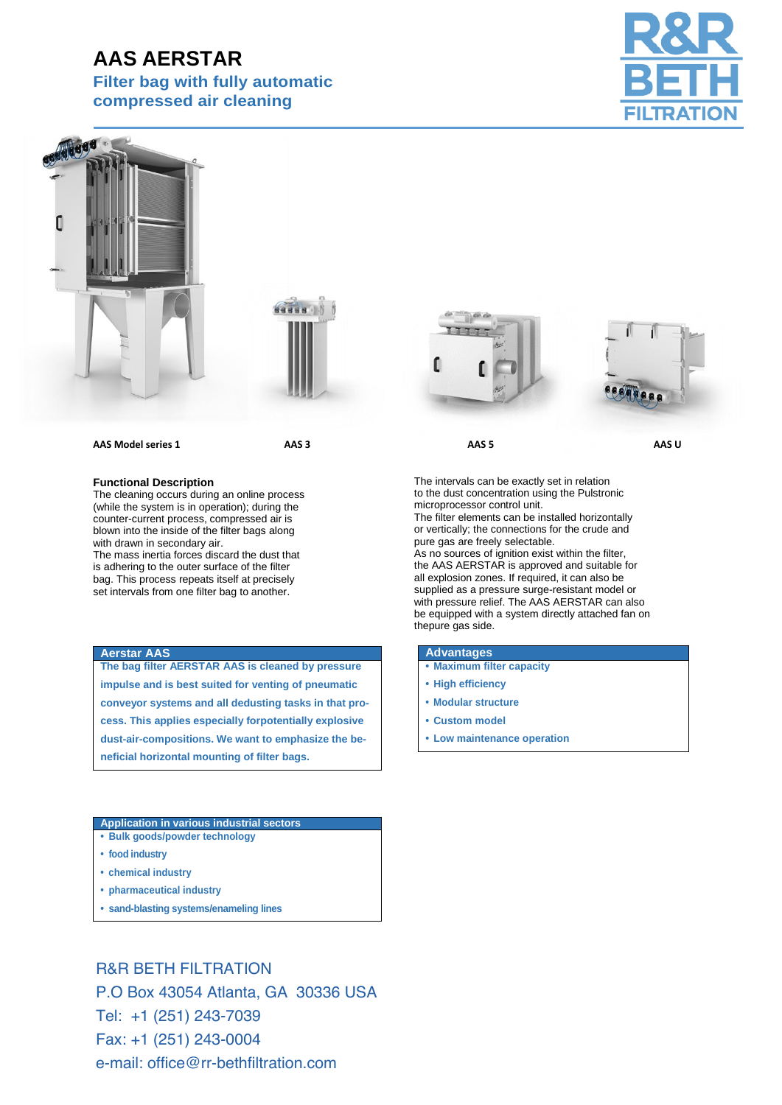# **AAS AERSTAR**

**Filter bag with fully automatic compressed air cleaning** 







#### **AAS Model series 1** AAS 3 AAS 3 AAS 5 AAS Model series 1

#### **Functional Description**

The cleaning occurs during an online process (while the system is in operation); during the counter-current process, compressed air is blown into the inside of the filter bags along with drawn in secondary air.

The mass inertia forces discard the dust that is adhering to the outer surface of the filter bag. This process repeats itself at precisely set intervals from one filter bag to another.

### **Aerstar AAS**

**The bag filter AERSTAR AAS is cleaned by pressure impulse and is best suited for venting of pneumatic conveyor systems and all dedusting tasks in that process. This applies especially forpotentially explosive dust-air-compositions. We want to emphasize the beneficial horizontal mounting of filter bags.**

#### **Application in various industrial sectors**

- **• Bulk goods/powder technology**
- **• food industry**
- **• chemical industry**
- **• pharmaceutical industry**
- **• sand-blasting systems/enameling lines**

R&R BETH FILTRATION P.O Box 43054 Atlanta, GA 30336 USA Tel: +1 (251) 243-7039 Fax: +1 (251) 243-0004 e-mail: office@rr-bethfiltration.com





The intervals can be exactly set in relation to the dust concentration using the Pulstronic microprocessor control unit.

The filter elements can be installed horizontally or vertically; the connections for the crude and pure gas are freely selectable. As no sources of ignition exist within the filter,

the AAS AERSTAR is approved and suitable for all explosion zones. If required, it can also be supplied as a pressure surge-resistant model or with pressure relief. The AAS AERSTAR can also be equipped with a system directly attached fan on thepure gas side.

## **Advantages**

- **• Maximum filter capacity**
- **• High efficiency**
- **• Modular structure**
- **• Custom model**
- **• Low maintenance operation**